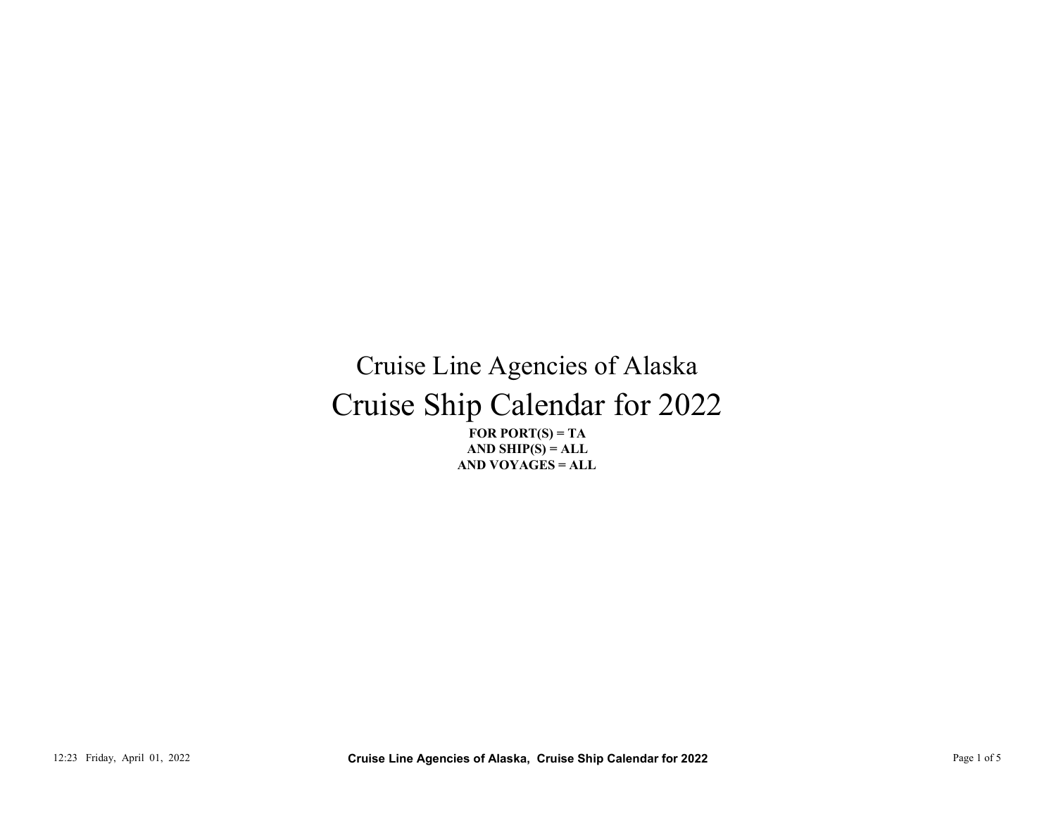## Cruise Ship Calendar for 2022 Cruise Line Agencies of Alaska CT (1133) FRIENCES - THE PAGE TOR PORTS - TAND YOUR CRUISE DIRECT TO THE AND YOU AGENTS - TAND YOU AGENTS - TAND YOU AGENTS - TAND YOU AGENTS - TAND YOU AGENTS - TAND TO THE ADD YOU AGENTS - TAND YOU AGENTS - TAND YOU AGE

FOR PORT $(S) = TA$ AND VOYAGES = ALL AND SHIP $(S) = ALL$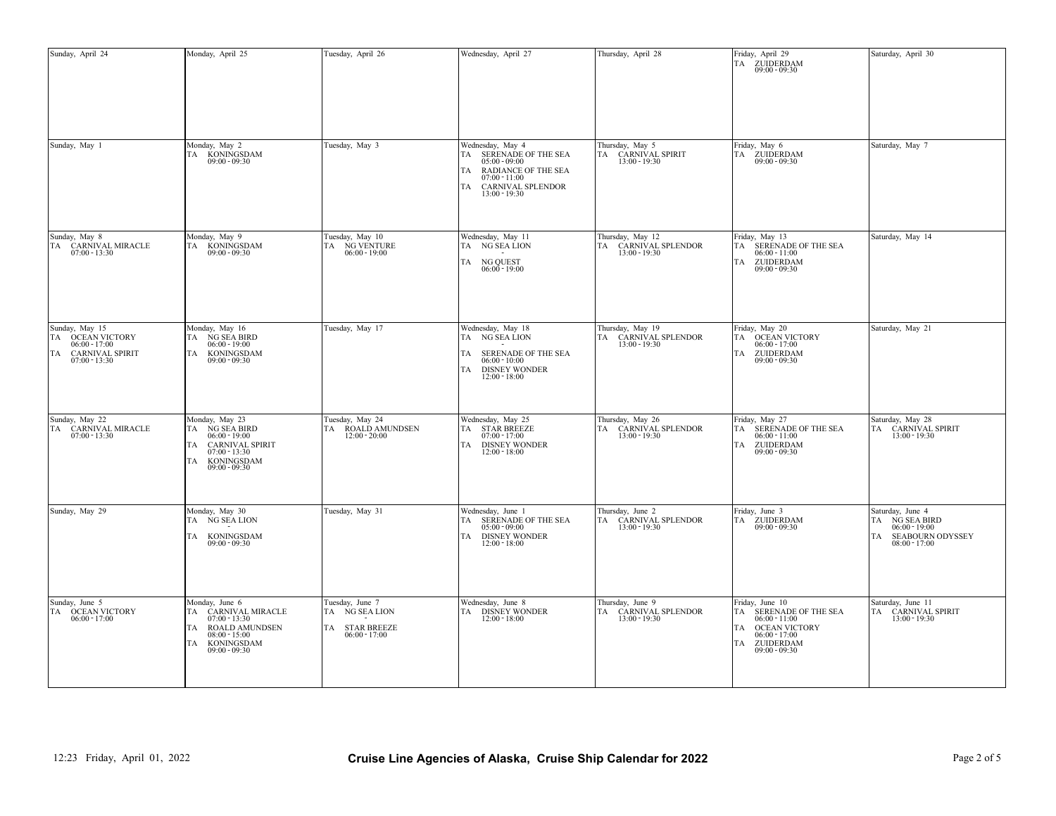| Sunday, April 24                                                                          |                                   | Monday, April 25                                                                                                                                                       | Tuesday, April 26                                                                                                          | Wednesday, April 27                                                                                                                          | Thursday, April 28                                          | Friday, April 29<br>TA ZUIDERDAM<br>$09:00 - 09:30$                                                                                                                                          | Saturday, April 30                                                                              |
|-------------------------------------------------------------------------------------------|-----------------------------------|------------------------------------------------------------------------------------------------------------------------------------------------------------------------|----------------------------------------------------------------------------------------------------------------------------|----------------------------------------------------------------------------------------------------------------------------------------------|-------------------------------------------------------------|----------------------------------------------------------------------------------------------------------------------------------------------------------------------------------------------|-------------------------------------------------------------------------------------------------|
| Sunday, May 1                                                                             |                                   | Monday, May 2<br>TA KONINGSDAM<br>09:00 - 09:30                                                                                                                        | Tuesday, May 3                                                                                                             | Wednesday, May 4<br>TA SERENADE OF THE SEA<br>$05:00 - 09:00$<br>TA RADIANCE OF THE SEA<br>$07:00 - 11:00$<br>CARNIVAL SPLENDOR<br><b>TA</b> | Thursday, May 5<br>TA CARNIVAL SPIRIT<br>13:00 - 19:30      | Friday, May 6<br>TA ZUIDERDAM<br>09:00 - 09:30                                                                                                                                               | Saturday, May 7                                                                                 |
| Sunday, May 8<br>TA                                                                       | CARNIVAL MIRACLE<br>07:00 - 13:30 | Monday, May 9<br>TA KONINGSDAM<br>09:00 - 09:30                                                                                                                        | Tuesday, May 10<br>TA NG VENTURE<br>06:00 - 19:00                                                                          | $13:00 - 19:30$<br>Wednesday, May 11<br>TA NG SEA LION<br>TA NG QUEST<br>06:00 - 19:00                                                       | Thursday, May 12<br>TA CARNIVAL SPLENDOR<br>13:00 - 19:30   | Friday, May 13<br>SERENADE OF THE SEA $06:00$ - $11:00$<br>TA<br>ZUIDERDAM<br>09:00 - 09:30<br>TA                                                                                            | Saturday, May 14                                                                                |
| Sunday, May 15<br>TA OCEAN VICTORY<br>$06:00 - 17:00$<br>TA<br>$07:00 - 13:30$            | <b>CARNIVAL SPIRIT</b>            | Monday, May 16<br>TA NG SEA BIRD<br>$06:00 - 19:00$<br>KONINGSDAM<br>TA<br>$09:00 - 09:30$                                                                             | Tuesday, May 17                                                                                                            | Wednesday, May 18<br>TA NG SEA LION<br><b>TA</b><br>SERENADE OF THE SEA<br>$06:00 - 10:00$<br><b>DISNEY WONDER</b><br>TA<br>$12:00 - 18:00$  | Thursday, May 19<br>TA CARNIVAL SPLENDOR<br>$13:00 - 19:30$ | Friday, May 20<br>OCEAN VICTORY $06:00$ - 17:00<br>TА<br>ZUIDERDAM<br>09:00 - 09:30<br>TA                                                                                                    | Saturday, May 21                                                                                |
| Sunday, May 22<br>$07:00 - 13:30$                                                         | TA CARNIVAL MIRACLE               | Monday, May 23<br>TA NG SEA BIRD<br>$06:00 - 19:00$<br><b>CARNIVAL SPIRIT</b><br>TA<br>$07:00 - 13:30$<br><b>KONINGSDAM</b><br>TA<br>$09:00 - 09:30$                   | Tuesday, May 24<br>TA ROALD AMUNDSEN<br>$12:00 - 20:00$                                                                    | Wednesday, May 25<br>TA STAR BREEZE<br>$07:00 - 17:00$<br>TA DISNEY WONDER<br>$12:00 - 18:00$                                                | Thursday, May 26<br>TA CARNIVAL SPLENDOR<br>$13:00 - 19:30$ | Friday, May 27<br>SERENADE OF THE SEA<br>TA<br>$06:00 - 11:00$<br>ZUIDERDAM<br>TА<br>$09:00 - 09:30$                                                                                         | Saturday, May 28<br>TA CARNIVAL SPIRIT<br>$13:00 - 19:30$                                       |
| Sunday, May 29                                                                            |                                   | Monday, May 30<br>TA NG SEA LION<br>TA KONINGSDAM<br>$09:00 - 09:30$                                                                                                   | Tuesday, May 31                                                                                                            | Wednesday, June 1<br>SERENADE OF THE SEA<br><b>TA</b><br>$05:00 - 09:00$<br><b>DISNEY WONDER</b><br><b>TA</b><br>$12:00 - 18:00$             | Thursday, June 2<br>TA CARNIVAL SPLENDOR<br>$13:00 - 19:30$ | Friday, June 3<br>$\begin{tabular}{ll} TA & \textbf{ZUIDERDAM} \\ \hline 09:00-09:30 \end{tabular}$                                                                                          | Saturday, June 4<br>TA NG SEA BIRD<br>$06:00 - 19:00$<br>TA SEABOURN ODYSSEY<br>$08:00 - 17:00$ |
| Sunday, June 5<br>$\begin{tabular}{ll} TA & OCEAN VICTORY \\ & 06:00-17:00 \end{tabular}$ |                                   | Monday, June 6<br>TA CARNIVAL MIRACLE<br>07:00 - 13:30<br>TA ROALD AMUNDSEN<br>$08:00 - 15:00$<br>$\begin{tabular}{ll} TA & KONINGSDAM \\ 09:00 - 09:30 \end{tabular}$ | Tuesday, June 7<br>TA NG SEA LION<br>$\begin{tabular}{ll} TA & \textbf{STAR BREEZE} \\ \textbf{06:00-17:00} \end{tabular}$ | Wednesday, June 8<br>$\begin{tabular}{ll} TA & DISNEY WONDER \\ 12:00 - 18:00 \end{tabular}$                                                 | Thursday, June 9<br>TA CARNIVAL SPLENDOR<br>13:00 - 19:30   | Friday, June 10<br>SERENADE OF THE SEA $06:00$ - $11:00$<br>TA<br>TA OCEAN VICTORY<br>06:00 - 17:00<br>$\begin{tabular}{ll} TA & \texttt{ZUIDERDAM} \\ \texttt{09:00 - 09:30} \end{tabular}$ | Saturday, June 11<br>TA CARNIVAL SPIRIT<br>13:00 - 19:30                                        |
|                                                                                           | 12:23 Friday, April 01, 2022      |                                                                                                                                                                        |                                                                                                                            | Cruise Line Agencies of Alaska, Cruise Ship Calendar for 2022                                                                                |                                                             |                                                                                                                                                                                              | Page 2 of 5                                                                                     |
|                                                                                           |                                   |                                                                                                                                                                        |                                                                                                                            |                                                                                                                                              |                                                             |                                                                                                                                                                                              |                                                                                                 |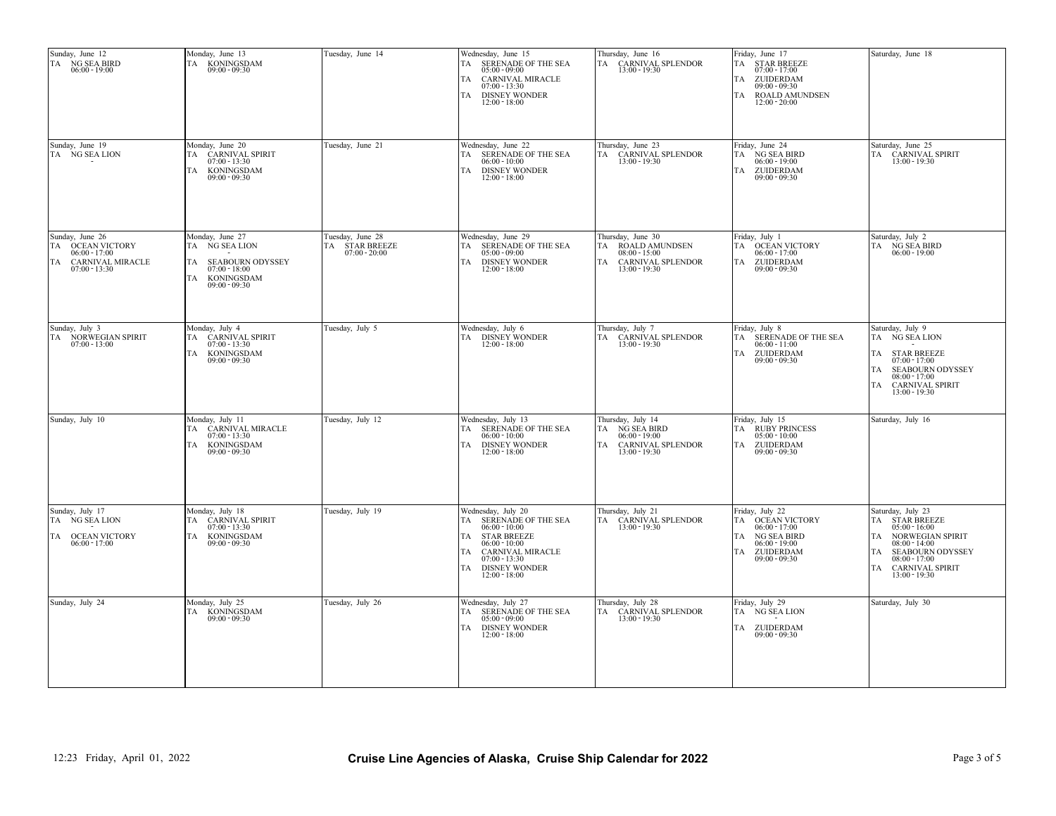| Sunday, June 12<br>TA NG SEA BIRD<br>06:00 - 19:00                                                         | Monday, June 13<br>TA KONINGSDAM<br>09:00 - 09:30                                                                     | Tuesday, June 14                                    | Wednesday, June 15<br>TA SERENADE OF THE SEA<br>$05:00 - 09:00$<br>TA CARNIVAL MIRACLE<br>$07:00 - 13:30$<br>TA DISNEY WONDER<br>$12:00 - 18:00$                                                                       | Thursday, June 16<br>TA CARNIVAL SPLENDOR<br>13:00 - 19:30                                           | Friday, June 17<br>$\begin{tabular}{ll} TA & \multicolumn{2}{c}{STAR BREEZE} \\ \multicolumn{2}{c}{07.00-17.00} \end{tabular}$<br>TA ZUIDERDAM<br>$09:00 - 09:30$<br><b>ROALD AMUNDSEN</b><br>TA<br>$12:00 - 20:00$ | Saturday, June 18                                                                                                                                                                                                     |
|------------------------------------------------------------------------------------------------------------|-----------------------------------------------------------------------------------------------------------------------|-----------------------------------------------------|------------------------------------------------------------------------------------------------------------------------------------------------------------------------------------------------------------------------|------------------------------------------------------------------------------------------------------|---------------------------------------------------------------------------------------------------------------------------------------------------------------------------------------------------------------------|-----------------------------------------------------------------------------------------------------------------------------------------------------------------------------------------------------------------------|
| Sunday, June 19<br>TA NG SEA LION                                                                          | Monday, June 20<br>TA CARNIVAL SPIRIT<br>$07:00 - 13:30$<br>KONINGSDAM<br>TA<br>$09:00 - 09:30$                       | Tuesday, June 21                                    | Wednesday, June 22<br>TA SERENADE OF THE SEA<br>$06:00 - 10:00$<br>TA DISNEY WONDER<br>$12:00 - 18:00$                                                                                                                 | Thursday, June 23<br>TA CARNIVAL SPLENDOR<br>13:00 - 19:30                                           | Friday, June 24<br>TA NG SEA BIRD<br>$06:00 - 19:00$<br>TA ZUIDERDAM<br>$09:00 - 09:30$                                                                                                                             | Saturday, June 25<br>TA CARNIVAL SPIRIT<br>13:00 - 19:30                                                                                                                                                              |
| Sunday, June 26<br>TA OCEAN VICTORY<br>$06:00 - 17:00$<br><b>CARNIVAL MIRACLE</b><br>TA<br>$07:00 - 13:30$ | Monday, June 27<br>TA NG SEA LION<br>SEABOURN ODYSSEY<br>TA<br>$07:00 - 18:00$<br>KONINGSDAM<br>TA<br>$09:00 - 09:30$ | Tuesday, June 28<br>TA STAR BREEZE<br>07:00 - 20:00 | Wednesday, June 29<br>TA SERENADE OF THE SEA<br>$05:00 - 09:00$<br>TA DISNEY WONDER<br>$12:00 - 18:00$                                                                                                                 | Thursday, June 30<br>TA ROALD AMUNDSEN<br>$08:00 - 15:00$<br>TA CARNIVAL SPLENDOR<br>$13:00 - 19:30$ | Friday, July 1<br>TA OCEAN VICTORY<br>$06:00 - 17:00$<br>TA ZUIDERDAM<br>$09:00 - 09:30$                                                                                                                            | Saturday, July 2<br>$\begin{tabular}{ll} TA & \stackrel{\text{NG} }{\text{NG} }SEA BIRD \\ \stackrel{\text{06:00-19:00}}{ } \end{tabular}$                                                                            |
| Sunday, July 3<br>$\begin{tabular}{ll} TA & NORWEGIAN SPIRIT \\ & 07:00-13:00 \end{tabular}$               | Monday, July 4<br>TA CARNIVAL SPIRIT<br>$07:00 - 13:30$<br>TA KONINGSDAM<br>$09:00 - 09:30$                           | Tuesday, July 5                                     | Wednesday, July 6<br>$\begin{tabular}{ c c } \hline \text{TA} & \text{DISNEY WONDER} \\ \hline 12:00-18:00 \\ \hline \end{tabular}$                                                                                    | Thursday, July 7<br>TA CARNIVAL SPLENDOR<br>13:00 - 19:30                                            | Friday, July 8<br>TA SERENADE OF THE SEA<br>$06:00 - 11:00$<br>ZUIDERDAM<br>TA<br>$09:00 - 09:30$                                                                                                                   | Saturday, July 9<br>TA NG SEA LION<br>$\begin{tabular}{ll} TA & \text{STAR BREEZE} \\ \text{07:00-17:00} \end{tabular}$<br>TA SEABOURN ODYSSEY<br>$08:00 - 17:00$<br>TA CARNIVAL SPIRIT<br>$13:00 - 19:30$            |
| Sunday, July 10                                                                                            | Monday, July 11<br>TA CARNIVAL MIRACLE<br>$07:00 - 13:30$<br>TA KONINGSDAM<br>$09:00 - 09:30$                         | Tuesday, July 12                                    | Wednesday, July 13<br>TA SERENADE OF THE SEA<br>$06:00 - 10:00$<br>TA DISNEY WONDER<br>$12:00 - 18:00$                                                                                                                 | Thursday, July 14<br>TA NG SEA BIRD<br>$06:00 - 19:00$<br>TA CARNIVAL SPLENDOR<br>$13:00 - 19:30$    | Friday, July 15<br>TA RUBY PRINCESS<br>$05:00 - 10:00$<br>TA ZUIDERDAM<br>$09:00 - 09:30$                                                                                                                           | Saturday, July 16                                                                                                                                                                                                     |
| Sunday, July 17<br>TA NG SEA LION<br><b>OCEAN VICTORY</b><br>TA<br>$06:00 - 17:00$                         | Monday, July 18<br>CARNIVAL SPIRIT<br>TA<br>$07:00 - 13:30$<br>TA KONINGSDAM<br>$09:00 - 09:30$                       | Tuesday, July 19                                    | Wednesday, July 20<br>SERENADE OF THE SEA<br>TA<br>$06:00 - 10:00$<br><b>STAR BREEZE</b><br>TA<br>$06:00 - 10:00$<br><b>CARNIVAL MIRACLE</b><br>TA<br>$07:00 - 13:30$<br><b>DISNEY WONDER</b><br>TA<br>$12:00 - 18:00$ | Thursday, July 21<br>TA CARNIVAL SPLENDOR<br>13:00 - 19:30                                           | Friday, July 22<br>OCEAN VICTORY $06:00$ - 17:00<br>TA<br>NG SEA BIRD<br>TA<br>$06:00 - 19:00$<br>ZUIDERDAM<br>TА<br>$09:00 - 09:30$                                                                                | Saturday, July 23<br>TA STAR BREEZE<br>$05:00 - 16:00$<br>TA NORWEGIAN SPIRIT<br>$08:00 - 14:00$<br>TA SEABOURN ODYSSEY<br>$08:00 - 17:00$<br>$\begin{tabular}{ll} TA & CARNIVAL SPIRIT \\ 13:00-19:30 \end{tabular}$ |
| Sunday, July 24                                                                                            | Monday, July 25<br>TA KONINGSDAM<br>$09:00 - 09:30$                                                                   | Tuesday, July 26                                    | Wednesday, July 27<br>TA SERENADE OF THE SEA<br>$05:00 - 09:00$<br>TA DISNEY WONDER<br>$12:00 - 18:00$                                                                                                                 | Thursday, July 28<br>TA CARNIVAL SPLENDOR<br>$13:00 - 19:30$                                         | Friday, July 29<br>TA NG SEA LION<br>TA ZUIDERDAM<br>$09:00 - 09:30$                                                                                                                                                | Saturday, July 30                                                                                                                                                                                                     |
| 12:23 Friday, April 01, 2022                                                                               |                                                                                                                       |                                                     | Cruise Line Agencies of Alaska, Cruise Ship Calendar for 2022                                                                                                                                                          |                                                                                                      |                                                                                                                                                                                                                     | Page 3 of 5                                                                                                                                                                                                           |
|                                                                                                            |                                                                                                                       |                                                     |                                                                                                                                                                                                                        |                                                                                                      |                                                                                                                                                                                                                     |                                                                                                                                                                                                                       |